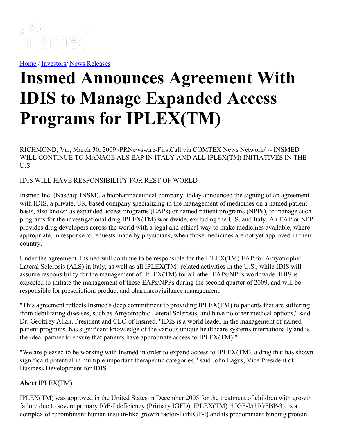

[Home](https://insmed.com/) / [Investors](https://investor.insmed.com/index)/ News [Releases](https://investor.insmed.com/releases)

# **Insmed Announces Agreement With IDIS to Manage Expanded Access Programs for IPLEX(TM)**

RICHMOND, Va., March 30, 2009 /PRNewswire-FirstCall via COMTEX News Network/ -- INSMED WILL CONTINUE TO MANAGE ALS EAP IN ITALY AND ALL IPLEX(TM) INITIATIVES IN THE U.S.

IDIS WILL HAVE RESPONSIBILITY FOR REST OF WORLD

Insmed Inc. (Nasdaq: INSM), a biopharmaceutical company, today announced the signing of an agreement with IDIS, a private, UK-based company specializing in the management of medicines on a named patient basis, also known as expanded access programs (EAPs) or named patient programs (NPPs), to manage such programs for the investigational drug IPLEX(TM) worldwide, excluding the U.S. and Italy. An EAP or NPP provides drug developers across the world with a legal and ethical way to make medicines available, where appropriate, in response to requests made by physicians, when those medicines are not yet approved in their country.

Under the agreement, Insmed will continue to be responsible for the IPLEX(TM) EAP for Amyotrophic Lateral Sclerosis (ALS) in Italy, as well as all IPLEX(TM)-related activities in the U.S., while IDIS will assume responsibility for the management of IPLEX(TM) for all other EAPs/NPPs worldwide. IDIS is expected to initiate the management of these EAPs/NPPs during the second quarter of 2009, and will be responsible for prescription, product and pharmacovigilance management.

"This agreement reflects Insmed's deep commitment to providing IPLEX(TM) to patients that are suffering from debilitating diseases, such as Amyotrophic Lateral Sclerosis, and have no other medical options," said Dr. Geoffrey Allan, President and CEO of Insmed. "IDIS is a world leader in the management of named patient programs, has significant knowledge of the various unique healthcare systems internationally and is the ideal partner to ensure that patients have appropriate access to IPLEX(TM)."

"We are pleased to be working with Insmed in order to expand access to IPLEX(TM), a drug that has shown significant potential in multiple important therapeutic categories," said John Lagus, Vice President of Business Development for IDIS.

## About IPLEX(TM)

IPLEX(TM) was approved in the United States in December 2005 for the treatment of children with growth failure due to severe primary IGF-I deficiency (Primary IGFD). IPLEX(TM) rhIGF-I/rhIGFBP-3), is a complex of recombinant human insulin-like growth factor-I (rhIGF-I) and its predominant binding protein